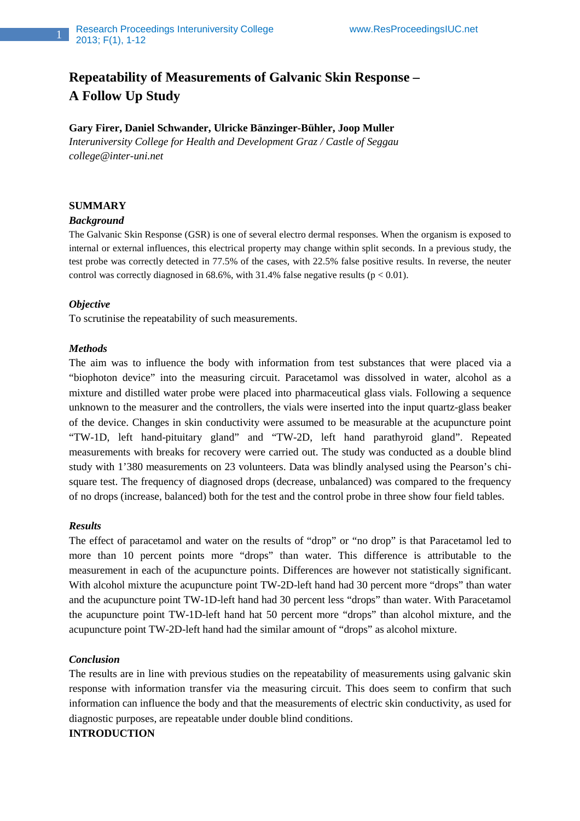# **Repeatability of Measurements of Galvanic Skin Response – A Follow Up Study**

# **Gary Firer, Daniel Schwander, Ulricke Bänzinger-Bühler, Joop Muller**

*Interuniversity College for Health and Development Graz / Castle of Seggau college@inter-uni.net* 

# **SUMMARY**

### *Background*

The Galvanic Skin Response (GSR) is one of several electro dermal responses. When the organism is exposed to internal or external influences, this electrical property may change within split seconds. In a previous study, the test probe was correctly detected in 77.5% of the cases, with 22.5% false positive results. In reverse, the neuter control was correctly diagnosed in 68.6%, with 31.4% false negative results  $(p < 0.01)$ .

### *Objective*

To scrutinise the repeatability of such measurements.

## *Methods*

The aim was to influence the body with information from test substances that were placed via a "biophoton device" into the measuring circuit. Paracetamol was dissolved in water, alcohol as a mixture and distilled water probe were placed into pharmaceutical glass vials. Following a sequence unknown to the measurer and the controllers, the vials were inserted into the input quartz-glass beaker of the device. Changes in skin conductivity were assumed to be measurable at the acupuncture point "TW-1D, left hand-pituitary gland" and "TW-2D, left hand parathyroid gland". Repeated measurements with breaks for recovery were carried out. The study was conducted as a double blind study with 1'380 measurements on 23 volunteers. Data was blindly analysed using the Pearson's chisquare test. The frequency of diagnosed drops (decrease, unbalanced) was compared to the frequency of no drops (increase, balanced) both for the test and the control probe in three show four field tables.

### *Results*

The effect of paracetamol and water on the results of "drop" or "no drop" is that Paracetamol led to more than 10 percent points more "drops" than water. This difference is attributable to the measurement in each of the acupuncture points. Differences are however not statistically significant. With alcohol mixture the acupuncture point TW-2D-left hand had 30 percent more "drops" than water and the acupuncture point TW-1D-left hand had 30 percent less "drops" than water. With Paracetamol the acupuncture point TW-1D-left hand hat 50 percent more "drops" than alcohol mixture, and the acupuncture point TW-2D-left hand had the similar amount of "drops" as alcohol mixture.

### *Conclusion*

The results are in line with previous studies on the repeatability of measurements using galvanic skin response with information transfer via the measuring circuit. This does seem to confirm that such information can influence the body and that the measurements of electric skin conductivity, as used for diagnostic purposes, are repeatable under double blind conditions.

# **INTRODUCTION**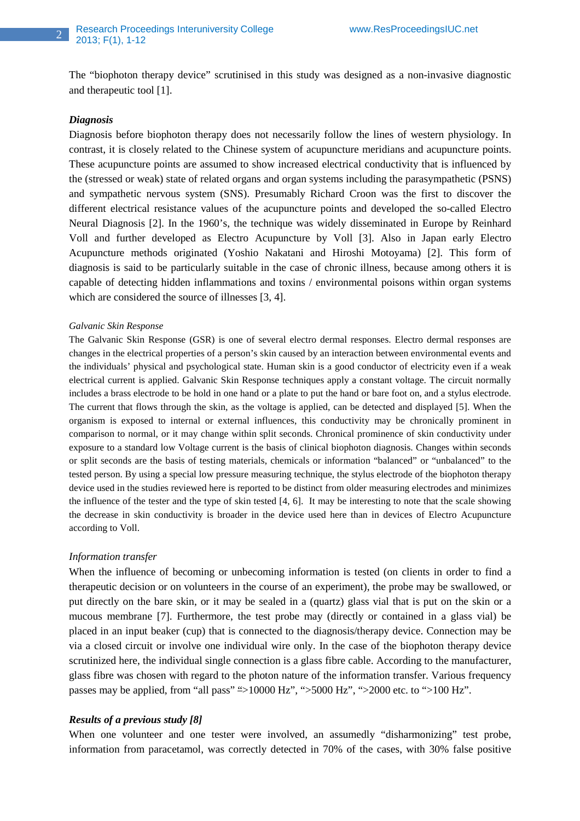The "biophoton therapy device" scrutinised in this study was designed as a non-invasive diagnostic and therapeutic tool [1].

#### *Diagnosis*

Diagnosis before biophoton therapy does not necessarily follow the lines of western physiology. In contrast, it is closely related to the Chinese system of acupuncture meridians and acupuncture points. These acupuncture points are assumed to show increased electrical conductivity that is influenced by the (stressed or weak) state of related organs and organ systems including the parasympathetic (PSNS) and sympathetic nervous system (SNS). Presumably Richard Croon was the first to discover the different electrical resistance values of the acupuncture points and developed the so-called Electro Neural Diagnosis [2]. In the 1960's, the technique was widely disseminated in Europe by Reinhard Voll and further developed as Electro Acupuncture by Voll [3]. Also in Japan early Electro Acupuncture methods originated (Yoshio Nakatani and Hiroshi Motoyama) [2]. This form of diagnosis is said to be particularly suitable in the case of chronic illness, because among others it is capable of detecting hidden inflammations and toxins / environmental poisons within organ systems which are considered the source of illnesses [3, 4].

#### *Galvanic Skin Response*

The Galvanic Skin Response (GSR) is one of several electro dermal responses. Electro dermal responses are changes in the electrical properties of a person's skin caused by an interaction between environmental events and the individuals' physical and psychological state. Human skin is a good conductor of electricity even if a weak electrical current is applied. Galvanic Skin Response techniques apply a constant voltage. The circuit normally includes a brass electrode to be hold in one hand or a plate to put the hand or bare foot on, and a stylus electrode. The current that flows through the skin, as the voltage is applied, can be detected and displayed [5]. When the organism is exposed to internal or external influences, this conductivity may be chronically prominent in comparison to normal, or it may change within split seconds. Chronical prominence of skin conductivity under exposure to a standard low Voltage current is the basis of clinical biophoton diagnosis. Changes within seconds or split seconds are the basis of testing materials, chemicals or information "balanced" or "unbalanced" to the tested person. By using a special low pressure measuring technique, the stylus electrode of the biophoton therapy device used in the studies reviewed here is reported to be distinct from older measuring electrodes and minimizes the influence of the tester and the type of skin tested [4, 6]. It may be interesting to note that the scale showing the decrease in skin conductivity is broader in the device used here than in devices of Electro Acupuncture according to Voll.

#### *Information transfer*

When the influence of becoming or unbecoming information is tested (on clients in order to find a therapeutic decision or on volunteers in the course of an experiment), the probe may be swallowed, or put directly on the bare skin, or it may be sealed in a (quartz) glass vial that is put on the skin or a mucous membrane [7]. Furthermore, the test probe may (directly or contained in a glass vial) be placed in an input beaker (cup) that is connected to the diagnosis/therapy device. Connection may be via a closed circuit or involve one individual wire only. In the case of the biophoton therapy device scrutinized here, the individual single connection is a glass fibre cable. According to the manufacturer, glass fibre was chosen with regard to the photon nature of the information transfer. Various frequency passes may be applied, from "all pass" ">10000 Hz", ">5000 Hz", ">2000 etc. to ">100 Hz".

#### *Results of a previous study [8]*

When one volunteer and one tester were involved, an assumedly "disharmonizing" test probe, information from paracetamol, was correctly detected in 70% of the cases, with 30% false positive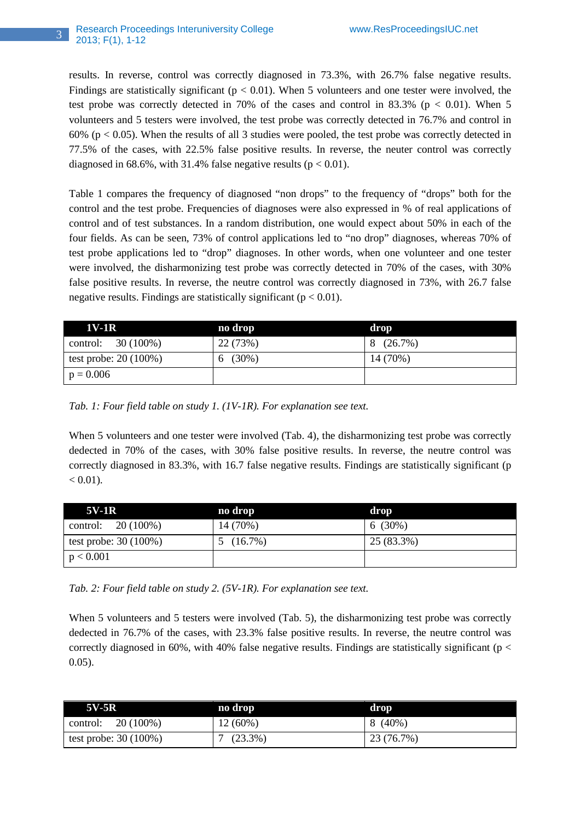results. In reverse, control was correctly diagnosed in 73.3%, with 26.7% false negative results. Findings are statistically significant ( $p < 0.01$ ). When 5 volunteers and one tester were involved, the test probe was correctly detected in 70% of the cases and control in 83.3% ( $p < 0.01$ ). When 5 volunteers and 5 testers were involved, the test probe was correctly detected in 76.7% and control in 60% ( $p < 0.05$ ). When the results of all 3 studies were pooled, the test probe was correctly detected in 77.5% of the cases, with 22.5% false positive results. In reverse, the neuter control was correctly diagnosed in  $68.6\%$ , with 31.4% false negative results ( $p < 0.01$ ).

Table 1 compares the frequency of diagnosed "non drops" to the frequency of "drops" both for the control and the test probe. Frequencies of diagnoses were also expressed in % of real applications of control and of test substances. In a random distribution, one would expect about 50% in each of the four fields. As can be seen, 73% of control applications led to "no drop" diagnoses, whereas 70% of test probe applications led to "drop" diagnoses. In other words, when one volunteer and one tester were involved, the disharmonizing test probe was correctly detected in 70% of the cases, with 30% false positive results. In reverse, the neutre control was correctly diagnosed in 73%, with 26.7 false negative results. Findings are statistically significant ( $p < 0.01$ ).

| 1V-1R                  | no drop  | drop     |
|------------------------|----------|----------|
| control: $30(100\%)$   | 22 (73%) | 8(26.7%) |
| test probe: $20(100%)$ | 6(30%)   | 14 (70%) |
| $p = 0.006$            |          |          |

*Tab. 1: Four field table on study 1. (1V-1R). For explanation see text.* 

When 5 volunteers and one tester were involved (Tab. 4), the disharmonizing test probe was correctly dedected in 70% of the cases, with 30% false positive results. In reverse, the neutre control was correctly diagnosed in 83.3%, with 16.7 false negative results. Findings are statistically significant (p  $< 0.01$ ).

| 5V-1R                  | no drop  | drop       |
|------------------------|----------|------------|
| 20 (100%)<br>control:  | 14 (70%) | $6(30\%)$  |
| test probe: $30(100%)$ | 5(16.7%) | 25 (83.3%) |
| p < 0.001              |          |            |

*Tab. 2: Four field table on study 2. (5V-1R). For explanation see text.* 

When 5 volunteers and 5 testers were involved (Tab. 5), the disharmonizing test probe was correctly dedected in 76.7% of the cases, with 23.3% false positive results. In reverse, the neutre control was correctly diagnosed in 60%, with 40% false negative results. Findings are statistically significant ( $p <$ 0.05).

| <b>5V-5R</b>           | no drop    | drop       |
|------------------------|------------|------------|
| 20 (100%)<br>control:  | $12(60\%)$ | $8(40\%)$  |
| test probe: $30(100%)$ | $(23.3\%)$ | 23 (76.7%) |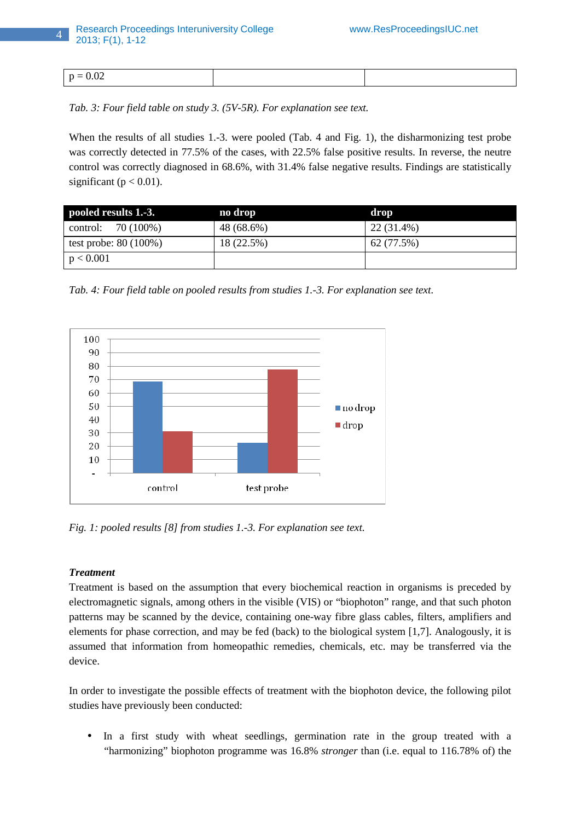| $\sim$<br>'n<br>- |  |
|-------------------|--|

*Tab. 3: Four field table on study 3. (5V-5R). For explanation see text.* 

When the results of all studies 1.-3. were pooled (Tab. 4 and Fig. 1), the disharmonizing test probe was correctly detected in 77.5% of the cases, with 22.5% false positive results. In reverse, the neutre control was correctly diagnosed in 68.6%, with 31.4% false negative results. Findings are statistically significant ( $p < 0.01$ ).

| pooled results 1.-3.   | no drop    | drop       |
|------------------------|------------|------------|
| control: $70(100%)$    | 48 (68.6%) | 22 (31.4%) |
| test probe: $80(100%)$ | 18 (22.5%) | 62 (77.5%) |
| p < 0.001              |            |            |

*Tab. 4: Four field table on pooled results from studies 1.-3. For explanation see text.* 



*Fig. 1: pooled results [8] from studies 1.-3. For explanation see text.* 

# *Treatment*

Treatment is based on the assumption that every biochemical reaction in organisms is preceded by electromagnetic signals, among others in the visible (VIS) or "biophoton" range, and that such photon patterns may be scanned by the device, containing one-way fibre glass cables, filters, amplifiers and elements for phase correction, and may be fed (back) to the biological system [1,7]. Analogously, it is assumed that information from homeopathic remedies, chemicals, etc. may be transferred via the device.

In order to investigate the possible effects of treatment with the biophoton device, the following pilot studies have previously been conducted:

• In a first study with wheat seedlings, germination rate in the group treated with a "harmonizing" biophoton programme was 16.8% *stronger* than (i.e. equal to 116.78% of) the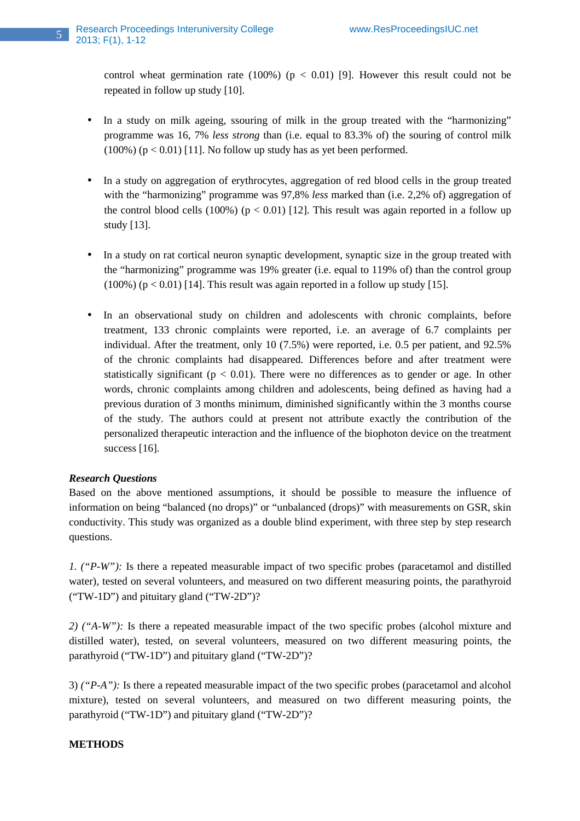control wheat germination rate  $(100%)$  ( $p < 0.01$ ) [9]. However this result could not be repeated in follow up study [10].

- In a study on milk ageing, ssouring of milk in the group treated with the "harmonizing" programme was 16, 7% *less strong* than (i.e. equal to 83.3% of) the souring of control milk  $(100\%)$  ( $p < 0.01$ ) [11]. No follow up study has as yet been performed.
- In a study on aggregation of erythrocytes, aggregation of red blood cells in the group treated with the "harmonizing" programme was 97,8% *less* marked than (i.e. 2,2% of) aggregation of the control blood cells (100%) ( $p < 0.01$ ) [12]. This result was again reported in a follow up study [13].
- In a study on rat cortical neuron synaptic development, synaptic size in the group treated with the "harmonizing" programme was 19% greater (i.e. equal to 119% of) than the control group  $(100\%)$  (p < 0.01) [14]. This result was again reported in a follow up study [15].
- In an observational study on children and adolescents with chronic complaints, before treatment, 133 chronic complaints were reported, i.e. an average of 6.7 complaints per individual. After the treatment, only 10 (7.5%) were reported, i.e. 0.5 per patient, and 92.5% of the chronic complaints had disappeared. Differences before and after treatment were statistically significant ( $p < 0.01$ ). There were no differences as to gender or age. In other words, chronic complaints among children and adolescents, being defined as having had a previous duration of 3 months minimum, diminished significantly within the 3 months course of the study. The authors could at present not attribute exactly the contribution of the personalized therapeutic interaction and the influence of the biophoton device on the treatment success [16].

# *Research Questions*

Based on the above mentioned assumptions, it should be possible to measure the influence of information on being "balanced (no drops)" or "unbalanced (drops)" with measurements on GSR, skin conductivity. This study was organized as a double blind experiment, with three step by step research questions.

*1. ("P-W"):* Is there a repeated measurable impact of two specific probes (paracetamol and distilled water), tested on several volunteers, and measured on two different measuring points, the parathyroid ("TW-1D") and pituitary gland ("TW-2D")?

*2) ("A-W"):* Is there a repeated measurable impact of the two specific probes (alcohol mixture and distilled water), tested, on several volunteers, measured on two different measuring points, the parathyroid ("TW-1D") and pituitary gland ("TW-2D")?

3) *("P-A"):* Is there a repeated measurable impact of the two specific probes (paracetamol and alcohol mixture), tested on several volunteers, and measured on two different measuring points, the parathyroid ("TW-1D") and pituitary gland ("TW-2D")?

# **METHODS**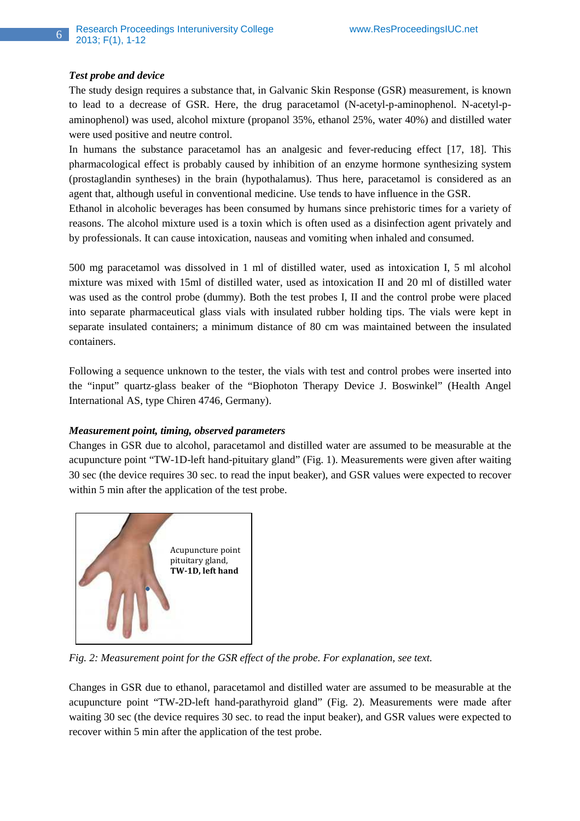## *Test probe and device*

The study design requires a substance that, in Galvanic Skin Response (GSR) measurement, is known to lead to a decrease of GSR. Here, the drug paracetamol (N-acetyl-p-aminophenol. N-acetyl-paminophenol) was used, alcohol mixture (propanol 35%, ethanol 25%, water 40%) and distilled water were used positive and neutre control.

In humans the substance paracetamol has an analgesic and fever-reducing effect [17, 18]. This pharmacological effect is probably caused by inhibition of an enzyme hormone synthesizing system (prostaglandin syntheses) in the brain (hypothalamus). Thus here, paracetamol is considered as an agent that, although useful in conventional medicine. Use tends to have influence in the GSR.

Ethanol in alcoholic beverages has been consumed by humans since prehistoric times for a variety of reasons. The alcohol mixture used is a toxin which is often used as a disinfection agent privately and by professionals. It can cause intoxication, nauseas and vomiting when inhaled and consumed.

500 mg paracetamol was dissolved in 1 ml of distilled water, used as intoxication I, 5 ml alcohol mixture was mixed with 15ml of distilled water, used as intoxication II and 20 ml of distilled water was used as the control probe (dummy). Both the test probes I, II and the control probe were placed into separate pharmaceutical glass vials with insulated rubber holding tips. The vials were kept in separate insulated containers; a minimum distance of 80 cm was maintained between the insulated containers.

Following a sequence unknown to the tester, the vials with test and control probes were inserted into the "input" quartz-glass beaker of the "Biophoton Therapy Device J. Boswinkel" (Health Angel International AS, type Chiren 4746, Germany).

### *Measurement point, timing, observed parameters*

Changes in GSR due to alcohol, paracetamol and distilled water are assumed to be measurable at the acupuncture point "TW-1D-left hand-pituitary gland" (Fig. 1). Measurements were given after waiting 30 sec (the device requires 30 sec. to read the input beaker), and GSR values were expected to recover within 5 min after the application of the test probe.



*Fig. 2: Measurement point for the GSR effect of the probe. For explanation, see text.* 

Changes in GSR due to ethanol, paracetamol and distilled water are assumed to be measurable at the acupuncture point "TW-2D-left hand-parathyroid gland" (Fig. 2). Measurements were made after waiting 30 sec (the device requires 30 sec. to read the input beaker), and GSR values were expected to recover within 5 min after the application of the test probe.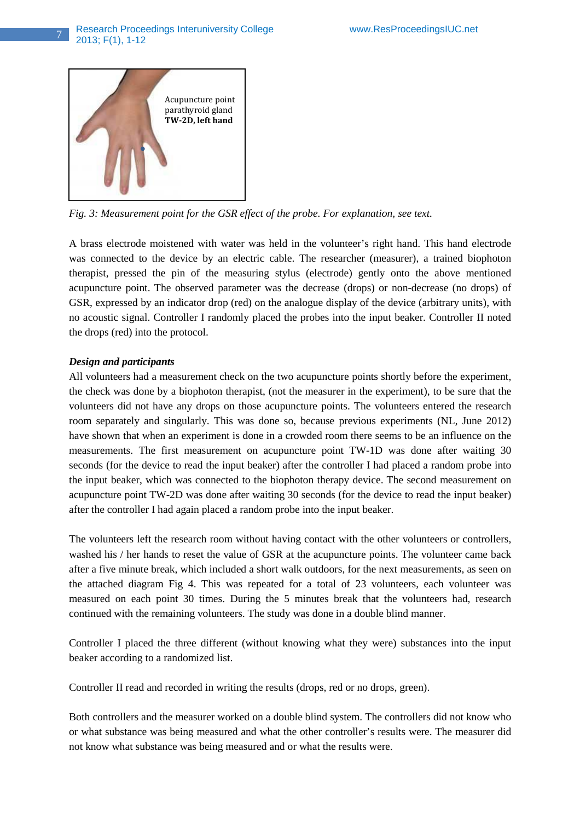

*Fig. 3: Measurement point for the GSR effect of the probe. For explanation, see text.* 

A brass electrode moistened with water was held in the volunteer's right hand. This hand electrode was connected to the device by an electric cable. The researcher (measurer), a trained biophoton therapist, pressed the pin of the measuring stylus (electrode) gently onto the above mentioned acupuncture point. The observed parameter was the decrease (drops) or non-decrease (no drops) of GSR, expressed by an indicator drop (red) on the analogue display of the device (arbitrary units), with no acoustic signal. Controller I randomly placed the probes into the input beaker. Controller II noted the drops (red) into the protocol.

# *Design and participants*

All volunteers had a measurement check on the two acupuncture points shortly before the experiment, the check was done by a biophoton therapist, (not the measurer in the experiment), to be sure that the volunteers did not have any drops on those acupuncture points. The volunteers entered the research room separately and singularly. This was done so, because previous experiments (NL, June 2012) have shown that when an experiment is done in a crowded room there seems to be an influence on the measurements. The first measurement on acupuncture point TW-1D was done after waiting 30 seconds (for the device to read the input beaker) after the controller I had placed a random probe into the input beaker, which was connected to the biophoton therapy device. The second measurement on acupuncture point TW-2D was done after waiting 30 seconds (for the device to read the input beaker) after the controller I had again placed a random probe into the input beaker.

The volunteers left the research room without having contact with the other volunteers or controllers, washed his / her hands to reset the value of GSR at the acupuncture points. The volunteer came back after a five minute break, which included a short walk outdoors, for the next measurements, as seen on the attached diagram Fig 4. This was repeated for a total of 23 volunteers, each volunteer was measured on each point 30 times. During the 5 minutes break that the volunteers had, research continued with the remaining volunteers. The study was done in a double blind manner.

Controller I placed the three different (without knowing what they were) substances into the input beaker according to a randomized list.

Controller II read and recorded in writing the results (drops, red or no drops, green).

Both controllers and the measurer worked on a double blind system. The controllers did not know who or what substance was being measured and what the other controller's results were. The measurer did not know what substance was being measured and or what the results were.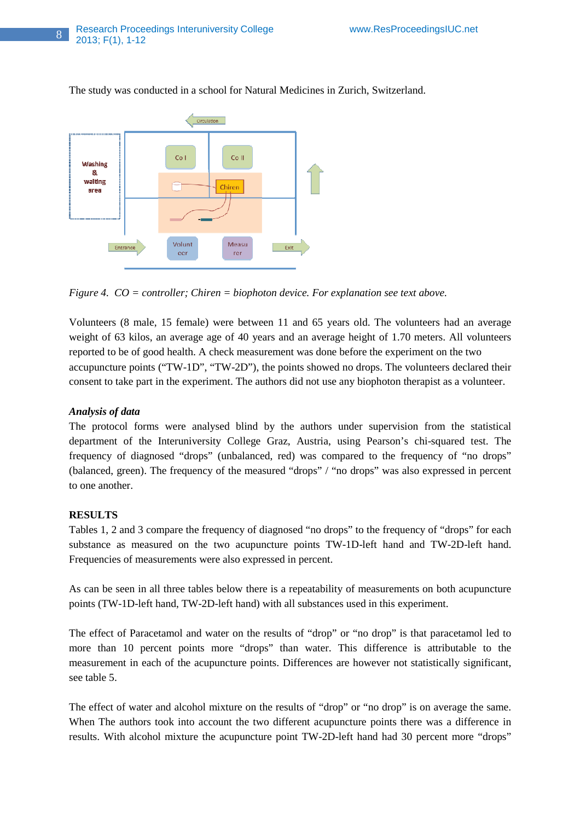

The study was conducted in a school for Natural Medicines in Zurich, Switzerland.

*Figure 4. CO = controller; Chiren = biophoton device. For explanation see text above.* 

Volunteers (8 male, 15 female) were between 11 and 65 years old. The volunteers had an average weight of 63 kilos, an average age of 40 years and an average height of 1.70 meters. All volunteers reported to be of good health. A check measurement was done before the experiment on the two accupuncture points ("TW-1D", "TW-2D"), the points showed no drops. The volunteers declared their consent to take part in the experiment. The authors did not use any biophoton therapist as a volunteer.

# *Analysis of data*

The protocol forms were analysed blind by the authors under supervision from the statistical department of the Interuniversity College Graz, Austria, using Pearson's chi-squared test. The frequency of diagnosed "drops" (unbalanced, red) was compared to the frequency of "no drops" (balanced, green). The frequency of the measured "drops" / "no drops" was also expressed in percent to one another.

### **RESULTS**

Tables 1, 2 and 3 compare the frequency of diagnosed "no drops" to the frequency of "drops" for each substance as measured on the two acupuncture points TW-1D-left hand and TW-2D-left hand. Frequencies of measurements were also expressed in percent.

As can be seen in all three tables below there is a repeatability of measurements on both acupuncture points (TW-1D-left hand, TW-2D-left hand) with all substances used in this experiment.

The effect of Paracetamol and water on the results of "drop" or "no drop" is that paracetamol led to more than 10 percent points more "drops" than water. This difference is attributable to the measurement in each of the acupuncture points. Differences are however not statistically significant, see table 5.

The effect of water and alcohol mixture on the results of "drop" or "no drop" is on average the same. When The authors took into account the two different acupuncture points there was a difference in results. With alcohol mixture the acupuncture point TW-2D-left hand had 30 percent more "drops"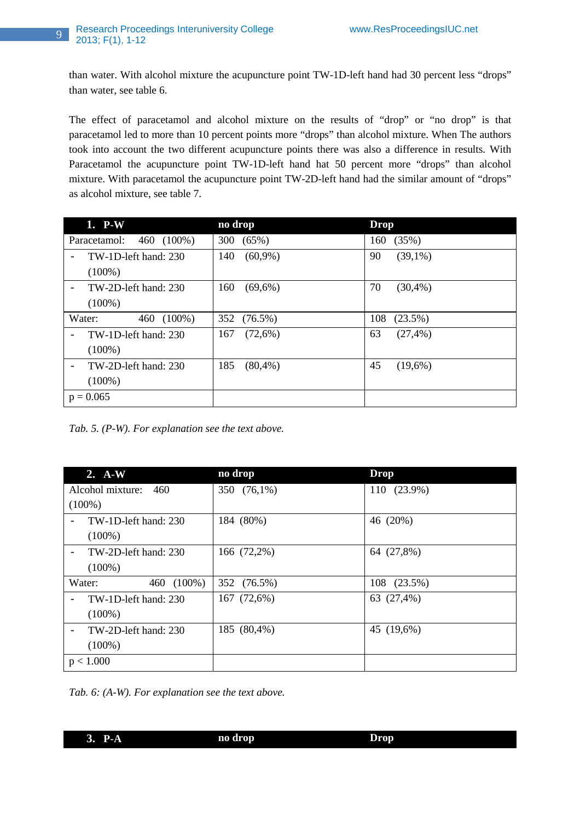than water. With alcohol mixture the acupuncture point TW-1D-left hand had 30 percent less "drops" than water, see table 6.

The effect of paracetamol and alcohol mixture on the results of "drop" or "no drop" is that paracetamol led to more than 10 percent points more "drops" than alcohol mixture. When The authors took into account the two different acupuncture points there was also a difference in results. With Paracetamol the acupuncture point TW-1D-left hand hat 50 percent more "drops" than alcohol mixture. With paracetamol the acupuncture point TW-2D-left hand had the similar amount of "drops" as alcohol mixture, see table 7.

| 1. P-W                                 | no drop           | <b>Drop</b>       |
|----------------------------------------|-------------------|-------------------|
| 460 (100%)<br>Paracetamol:             | 300<br>(65%)      | (35%)<br>160      |
| TW-1D-left hand: 230<br>$\blacksquare$ | $(60,9\%)$<br>140 | 90<br>$(39,1\%)$  |
| $(100\%)$                              |                   |                   |
| TW-2D-left hand: 230<br>$\blacksquare$ | $(69,6\%)$<br>160 | 70<br>(30,4%      |
| $(100\%)$                              |                   |                   |
| $(100\%)$<br>Water:<br>460             | 352 (76.5%)       | 108<br>(23.5%)    |
| TW-1D-left hand: 230<br>$\blacksquare$ | (72,6%)<br>167    | 63<br>$(27, 4\%)$ |
| $(100\%)$                              |                   |                   |
| TW-2D-left hand: 230<br>$\blacksquare$ | 185<br>(80,4%     | 45<br>$(19,6\%)$  |
| $(100\%)$                              |                   |                   |
| $p = 0.065$                            |                   |                   |

*Tab. 5. (P-W). For explanation see the text above.* 

| $2. A-W$                                  | no drop     | <b>Drop</b> |
|-------------------------------------------|-------------|-------------|
| Alcohol mixture: 460                      | 350 (76,1%) | 110 (23.9%) |
| $(100\%)$                                 |             |             |
| TW-1D-left hand: 230<br>$\blacksquare$    | 184 (80%)   | 46 (20%)    |
| $(100\%)$                                 |             |             |
| TW-2D-left hand: 230<br>$\blacksquare$    | 166 (72,2%) | 64 (27,8%)  |
| $(100\%)$                                 |             |             |
| Water:<br>460 (100%)                      | 352 (76.5%) | 108 (23.5%) |
| $TW-1D$ -left hand: 230<br>$\blacksquare$ | 167 (72,6%) | 63 (27,4%)  |
| $(100\%)$                                 |             |             |
| TW-2D-left hand: 230<br>$\blacksquare$    | 185 (80,4%) | 45 (19,6%)  |
| $(100\%)$                                 |             |             |
| p < 1.000                                 |             |             |

*Tab. 6: (A-W). For explanation see the text above.* 

**3. P-A no drop Drop**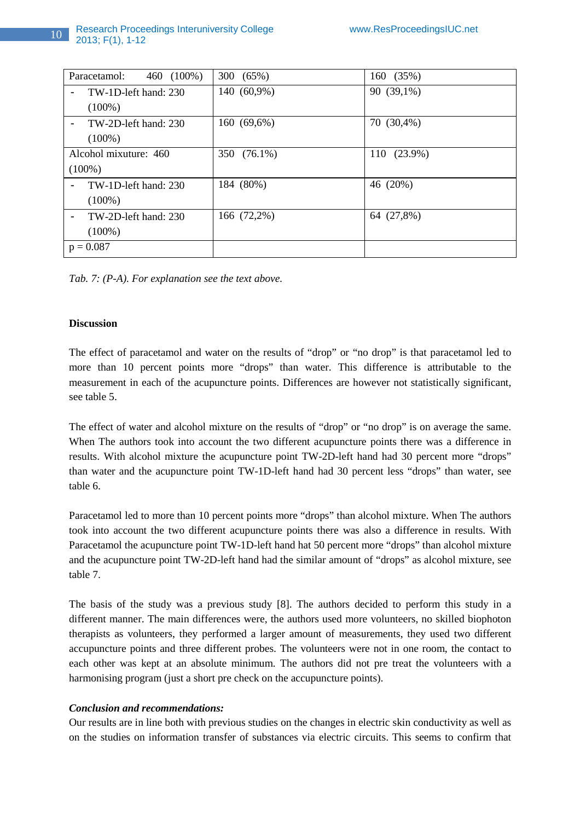| Paracetamol:<br>460 (100%) | 300 (65%)   | 160 (35%)   |
|----------------------------|-------------|-------------|
| TW-1D-left hand: 230<br>-  | 140 (60,9%) | 90 (39,1%)  |
| $(100\%)$                  |             |             |
| TW-2D-left hand: 230<br>-  | 160 (69,6%) | 70 (30,4%)  |
| $(100\%)$                  |             |             |
| Alcohol mixuture: 460      | 350 (76.1%) | 110 (23.9%) |
| $(100\%)$                  |             |             |
| TW-1D-left hand: 230<br>-  | 184 (80%)   | 46 (20%)    |
| $(100\%)$                  |             |             |
| TW-2D-left hand: 230<br>-  | 166 (72,2%) | 64 (27,8%)  |
| $(100\%)$                  |             |             |
| $p = 0.087$                |             |             |

*Tab. 7: (P-A). For explanation see the text above.* 

# **Discussion**

The effect of paracetamol and water on the results of "drop" or "no drop" is that paracetamol led to more than 10 percent points more "drops" than water. This difference is attributable to the measurement in each of the acupuncture points. Differences are however not statistically significant, see table 5.

The effect of water and alcohol mixture on the results of "drop" or "no drop" is on average the same. When The authors took into account the two different acupuncture points there was a difference in results. With alcohol mixture the acupuncture point TW-2D-left hand had 30 percent more "drops" than water and the acupuncture point TW-1D-left hand had 30 percent less "drops" than water, see table 6.

Paracetamol led to more than 10 percent points more "drops" than alcohol mixture. When The authors took into account the two different acupuncture points there was also a difference in results. With Paracetamol the acupuncture point TW-1D-left hand hat 50 percent more "drops" than alcohol mixture and the acupuncture point TW-2D-left hand had the similar amount of "drops" as alcohol mixture, see table 7.

The basis of the study was a previous study [8]. The authors decided to perform this study in a different manner. The main differences were, the authors used more volunteers, no skilled biophoton therapists as volunteers, they performed a larger amount of measurements, they used two different accupuncture points and three different probes. The volunteers were not in one room, the contact to each other was kept at an absolute minimum. The authors did not pre treat the volunteers with a harmonising program (just a short pre check on the accupuncture points).

# *Conclusion and recommendations:*

Our results are in line both with previous studies on the changes in electric skin conductivity as well as on the studies on information transfer of substances via electric circuits. This seems to confirm that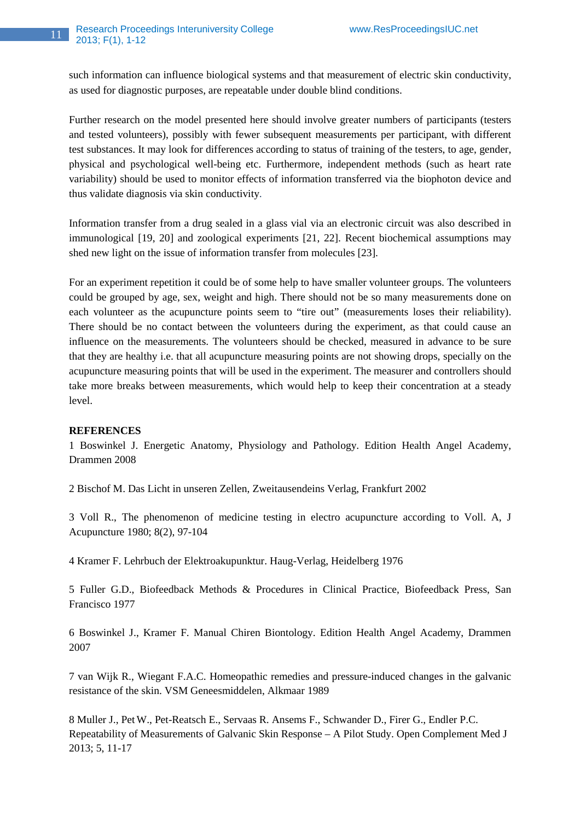such information can influence biological systems and that measurement of electric skin conductivity, as used for diagnostic purposes, are repeatable under double blind conditions.

Further research on the model presented here should involve greater numbers of participants (testers and tested volunteers), possibly with fewer subsequent measurements per participant, with different test substances. It may look for differences according to status of training of the testers, to age, gender, physical and psychological well-being etc. Furthermore, independent methods (such as heart rate variability) should be used to monitor effects of information transferred via the biophoton device and thus validate diagnosis via skin conductivity.

Information transfer from a drug sealed in a glass vial via an electronic circuit was also described in immunological [19, 20] and zoological experiments [21, 22]. Recent biochemical assumptions may shed new light on the issue of information transfer from molecules [23].

For an experiment repetition it could be of some help to have smaller volunteer groups. The volunteers could be grouped by age, sex, weight and high. There should not be so many measurements done on each volunteer as the acupuncture points seem to "tire out" (measurements loses their reliability). There should be no contact between the volunteers during the experiment, as that could cause an influence on the measurements. The volunteers should be checked, measured in advance to be sure that they are healthy i.e. that all acupuncture measuring points are not showing drops, specially on the acupuncture measuring points that will be used in the experiment. The measurer and controllers should take more breaks between measurements, which would help to keep their concentration at a steady level.

# **REFERENCES**

1 Boswinkel J. Energetic Anatomy, Physiology and Pathology. Edition Health Angel Academy, Drammen 2008

2 Bischof M. Das Licht in unseren Zellen, Zweitausendeins Verlag, Frankfurt 2002

3 Voll R., The phenomenon of medicine testing in electro acupuncture according to Voll. A, J Acupuncture 1980; 8(2), 97-104

4 Kramer F. Lehrbuch der Elektroakupunktur. Haug-Verlag, Heidelberg 1976

5 Fuller G.D., Biofeedback Methods & Procedures in Clinical Practice, Biofeedback Press, San Francisco 1977

6 Boswinkel J., Kramer F. Manual Chiren Biontology. Edition Health Angel Academy, Drammen 2007

7 van Wijk R., Wiegant F.A.C. Homeopathic remedies and pressure-induced changes in the galvanic resistance of the skin. VSM Geneesmiddelen, Alkmaar 1989

8 Muller J., PetW., Pet-Reatsch E., Servaas R. Ansems F., Schwander D., Firer G., Endler P.C. Repeatability of Measurements of Galvanic Skin Response – A Pilot Study. Open Complement Med J 2013; 5, 11-17